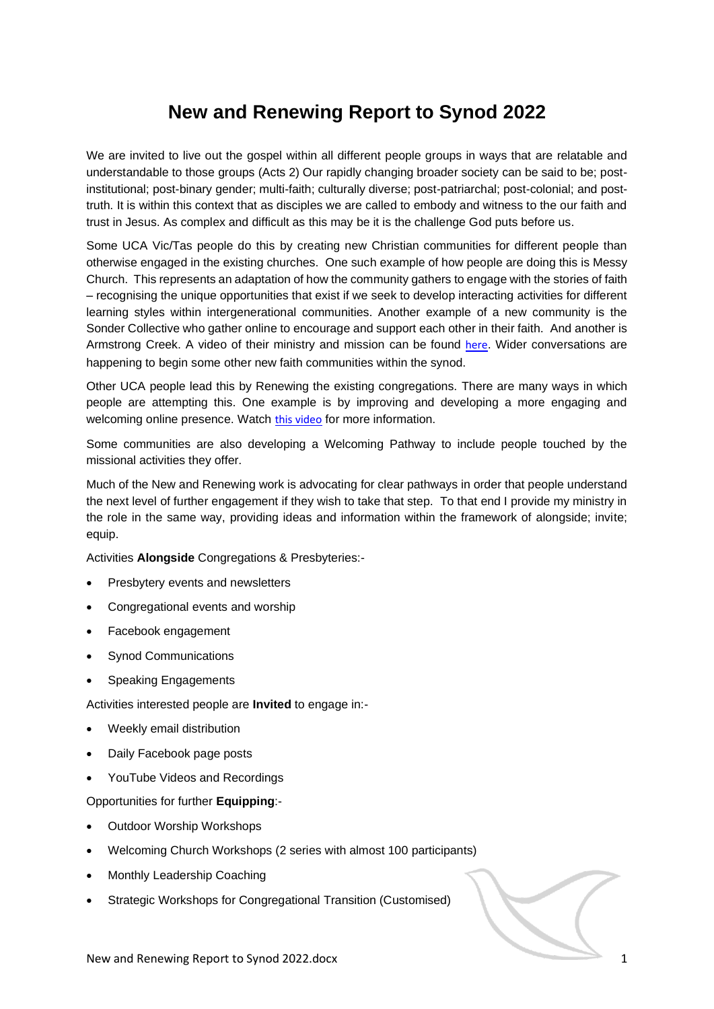## **New and Renewing Report to Synod 2022**

We are invited to live out the gospel within all different people groups in ways that are relatable and understandable to those groups (Acts 2) Our rapidly changing broader society can be said to be; postinstitutional; post-binary gender; multi-faith; culturally diverse; post-patriarchal; post-colonial; and posttruth. It is within this context that as disciples we are called to embody and witness to the our faith and trust in Jesus. As complex and difficult as this may be it is the challenge God puts before us.

Some UCA Vic/Tas people do this by creating new Christian communities for different people than otherwise engaged in the existing churches. One such example of how people are doing this is Messy Church. This represents an adaptation of how the community gathers to engage with the stories of faith – recognising the unique opportunities that exist if we seek to develop interacting activities for different learning styles within intergenerational communities. Another example of a new community is the Sonder Collective who gather online to encourage and support each other in their faith. And another is Armstrong Creek. A video of their ministry and mission can be found [here](https://vimeo.com/355889737). Wider conversations are happening to begin some other new faith communities within the synod.

Other UCA people lead this by Renewing the existing congregations. There are many ways in which people are attempting this. One example is by improving and developing a more engaging and welcoming online presence. Watch [this video](https://www.youtube.com/watch?v=A4eP4tBZZfs&t=5s) for more information.

Some communities are also developing a Welcoming Pathway to include people touched by the missional activities they offer.

Much of the New and Renewing work is advocating for clear pathways in order that people understand the next level of further engagement if they wish to take that step. To that end I provide my ministry in the role in the same way, providing ideas and information within the framework of alongside; invite; equip.

Activities **Alongside** Congregations & Presbyteries:-

- Presbytery events and newsletters
- Congregational events and worship
- Facebook engagement
- Synod Communications
- Speaking Engagements

Activities interested people are **Invited** to engage in:-

- Weekly email distribution
- Daily Facebook page posts
- YouTube Videos and Recordings

Opportunities for further **Equipping**:-

- Outdoor Worship Workshops
- Welcoming Church Workshops (2 series with almost 100 participants)
- Monthly Leadership Coaching
- Strategic Workshops for Congregational Transition (Customised)